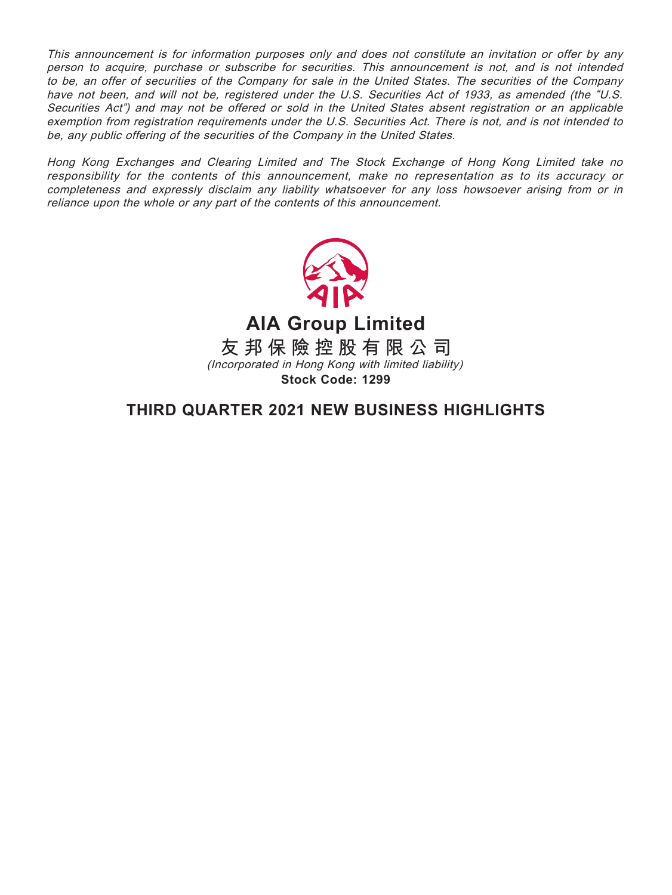This announcement is for information purposes only and does not constitute an invitation or offer by any person to acquire, purchase or subscribe for securities. This announcement is not, and is not intended to be, an offer of securities of the Company for sale in the United States. The securities of the Company have not been, and will not be, registered under the U.S. Securities Act of 1933, as amended (the "U.S. Securities Act") and may not be offered or sold in the United States absent registration or an applicable exemption from registration requirements under the U.S. Securities Act. There is not, and is not intended to be, any public offering of the securities of the Company in the United States.

Hong Kong Exchanges and Clearing Limited and The Stock Exchange of Hong Kong Limited take no responsibility for the contents of this announcement, make no representation as to its accuracy or completeness and expressly disclaim any liability whatsoever for any loss howsoever arising from or in reliance upon the whole or any part of the contents of this announcement.



**AIA Group Limited**

**友邦保險控股有限公司** (Incorporated in Hong Kong with limited liability) **Stock Code: 1299**

**THIRD QUARTER 2021 NEW BUSINESS HIGHLIGHTS**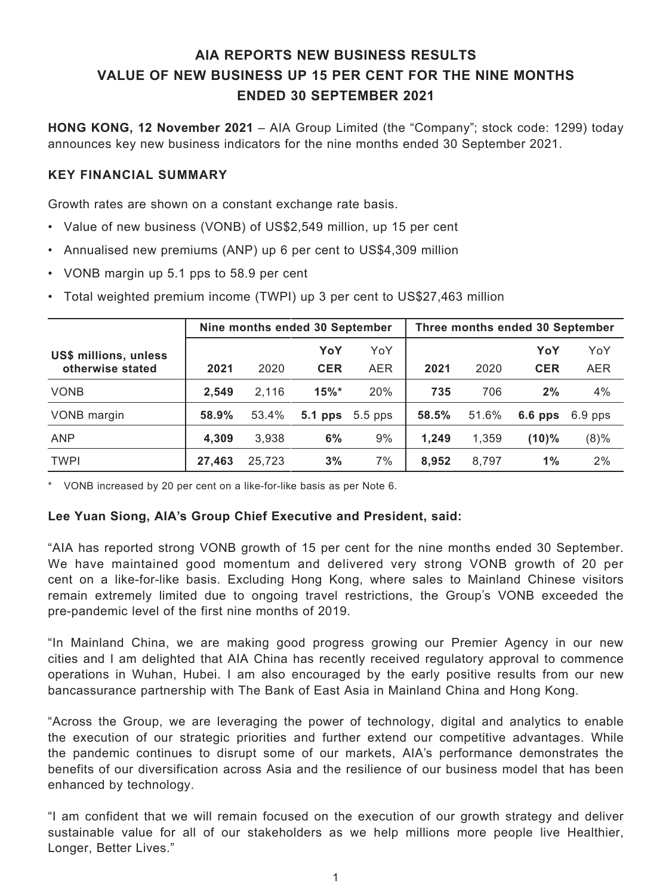# **AIA REPORTS NEW BUSINESS RESULTS VALUE OF NEW BUSINESS UP 15 PER CENT FOR THE NINE MONTHS ENDED 30 SEPTEMBER 2021**

**HONG KONG, 12 November 2021** – AIA Group Limited (the "Company"; stock code: 1299) today announces key new business indicators for the nine months ended 30 September 2021.

## **KEY FINANCIAL SUMMARY**

Growth rates are shown on a constant exchange rate basis.

- Value of new business (VONB) of US\$2,549 million, up 15 per cent
- Annualised new premiums (ANP) up 6 per cent to US\$4,309 million
- VONB margin up 5.1 pps to 58.9 per cent
- Total weighted premium income (TWPI) up 3 per cent to US\$27,463 million

|                       | Nine months ended 30 September |        |            | Three months ended 30 September |       |       |            |            |
|-----------------------|--------------------------------|--------|------------|---------------------------------|-------|-------|------------|------------|
| US\$ millions, unless |                                |        | YoY        | YoY                             |       |       | YoY        | YoY        |
| otherwise stated      | 2021                           | 2020   | <b>CER</b> | <b>AER</b>                      | 2021  | 2020  | <b>CER</b> | <b>AER</b> |
| <b>VONB</b>           | 2,549                          | 2,116  | $15\%$ *   | 20%                             | 735   | 706   | 2%         | 4%         |
| VONB margin           | 58.9%                          | 53.4%  | $5.1$ pps  | $5.5$ pps                       | 58.5% | 51.6% | $6.6$ pps  | $6.9$ pps  |
| <b>ANP</b>            | 4,309                          | 3,938  | 6%         | 9%                              | 1,249 | 1,359 | $(10)\%$   | (8)%       |
| <b>TWPI</b>           | 27,463                         | 25,723 | 3%         | 7%                              | 8.952 | 8,797 | 1%         | 2%         |

\* VONB increased by 20 per cent on a like-for-like basis as per Note 6.

### **Lee Yuan Siong, AIA's Group Chief Executive and President, said:**

"AIA has reported strong VONB growth of 15 per cent for the nine months ended 30 September. We have maintained good momentum and delivered very strong VONB growth of 20 per cent on a like-for-like basis. Excluding Hong Kong, where sales to Mainland Chinese visitors remain extremely limited due to ongoing travel restrictions, the Group's VONB exceeded the pre-pandemic level of the first nine months of 2019.

"In Mainland China, we are making good progress growing our Premier Agency in our new cities and I am delighted that AIA China has recently received regulatory approval to commence operations in Wuhan, Hubei. I am also encouraged by the early positive results from our new bancassurance partnership with The Bank of East Asia in Mainland China and Hong Kong.

"Across the Group, we are leveraging the power of technology, digital and analytics to enable the execution of our strategic priorities and further extend our competitive advantages. While the pandemic continues to disrupt some of our markets, AIA's performance demonstrates the benefits of our diversification across Asia and the resilience of our business model that has been enhanced by technology.

"I am confident that we will remain focused on the execution of our growth strategy and deliver sustainable value for all of our stakeholders as we help millions more people live Healthier, Longer, Better Lives."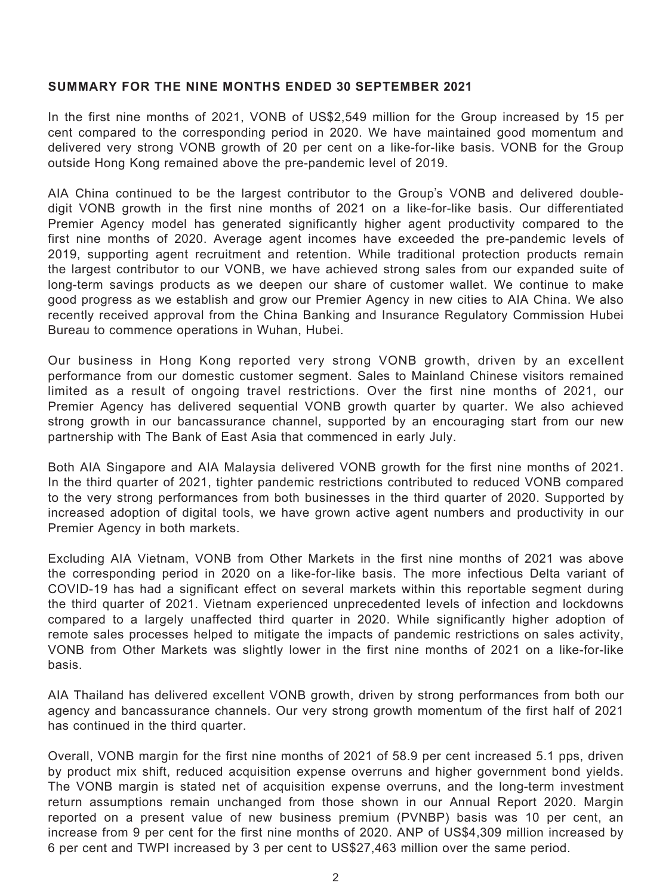## **SUMMARY FOR THE NINE MONTHS ENDED 30 SEPTEMBER 2021**

In the first nine months of 2021, VONB of US\$2,549 million for the Group increased by 15 per cent compared to the corresponding period in 2020. We have maintained good momentum and delivered very strong VONB growth of 20 per cent on a like-for-like basis. VONB for the Group outside Hong Kong remained above the pre-pandemic level of 2019.

AIA China continued to be the largest contributor to the Group's VONB and delivered doubledigit VONB growth in the first nine months of 2021 on a like-for-like basis. Our differentiated Premier Agency model has generated significantly higher agent productivity compared to the first nine months of 2020. Average agent incomes have exceeded the pre-pandemic levels of 2019, supporting agent recruitment and retention. While traditional protection products remain the largest contributor to our VONB, we have achieved strong sales from our expanded suite of long-term savings products as we deepen our share of customer wallet. We continue to make good progress as we establish and grow our Premier Agency in new cities to AIA China. We also recently received approval from the China Banking and Insurance Regulatory Commission Hubei Bureau to commence operations in Wuhan, Hubei.

Our business in Hong Kong reported very strong VONB growth, driven by an excellent performance from our domestic customer segment. Sales to Mainland Chinese visitors remained limited as a result of ongoing travel restrictions. Over the first nine months of 2021, our Premier Agency has delivered sequential VONB growth quarter by quarter. We also achieved strong growth in our bancassurance channel, supported by an encouraging start from our new partnership with The Bank of East Asia that commenced in early July.

Both AIA Singapore and AIA Malaysia delivered VONB growth for the first nine months of 2021. In the third quarter of 2021, tighter pandemic restrictions contributed to reduced VONB compared to the very strong performances from both businesses in the third quarter of 2020. Supported by increased adoption of digital tools, we have grown active agent numbers and productivity in our Premier Agency in both markets.

Excluding AIA Vietnam, VONB from Other Markets in the first nine months of 2021 was above the corresponding period in 2020 on a like-for-like basis. The more infectious Delta variant of COVID-19 has had a significant effect on several markets within this reportable segment during the third quarter of 2021. Vietnam experienced unprecedented levels of infection and lockdowns compared to a largely unaffected third quarter in 2020. While significantly higher adoption of remote sales processes helped to mitigate the impacts of pandemic restrictions on sales activity, VONB from Other Markets was slightly lower in the first nine months of 2021 on a like-for-like basis.

AIA Thailand has delivered excellent VONB growth, driven by strong performances from both our agency and bancassurance channels. Our very strong growth momentum of the first half of 2021 has continued in the third quarter.

Overall, VONB margin for the first nine months of 2021 of 58.9 per cent increased 5.1 pps, driven by product mix shift, reduced acquisition expense overruns and higher government bond yields. The VONB margin is stated net of acquisition expense overruns, and the long-term investment return assumptions remain unchanged from those shown in our Annual Report 2020. Margin reported on a present value of new business premium (PVNBP) basis was 10 per cent, an increase from 9 per cent for the first nine months of 2020. ANP of US\$4,309 million increased by 6 per cent and TWPI increased by 3 per cent to US\$27,463 million over the same period.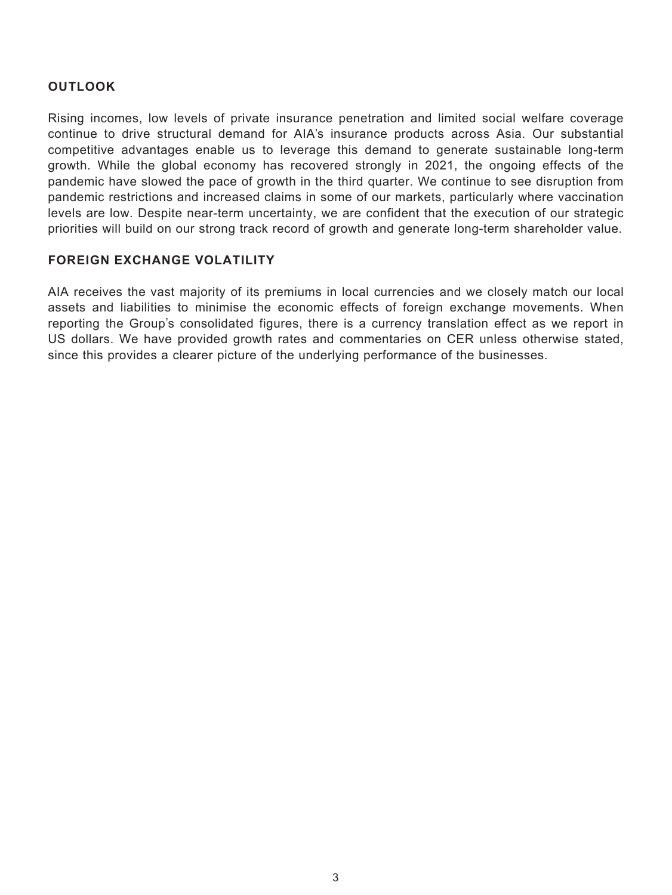## **OUTLOOK**

Rising incomes, low levels of private insurance penetration and limited social welfare coverage continue to drive structural demand for AIA's insurance products across Asia. Our substantial competitive advantages enable us to leverage this demand to generate sustainable long-term growth. While the global economy has recovered strongly in 2021, the ongoing effects of the pandemic have slowed the pace of growth in the third quarter. We continue to see disruption from pandemic restrictions and increased claims in some of our markets, particularly where vaccination levels are low. Despite near-term uncertainty, we are confident that the execution of our strategic priorities will build on our strong track record of growth and generate long-term shareholder value.

## **FOREIGN EXCHANGE VOLATILITY**

AIA receives the vast majority of its premiums in local currencies and we closely match our local assets and liabilities to minimise the economic effects of foreign exchange movements. When reporting the Group's consolidated figures, there is a currency translation effect as we report in US dollars. We have provided growth rates and commentaries on CER unless otherwise stated, since this provides a clearer picture of the underlying performance of the businesses.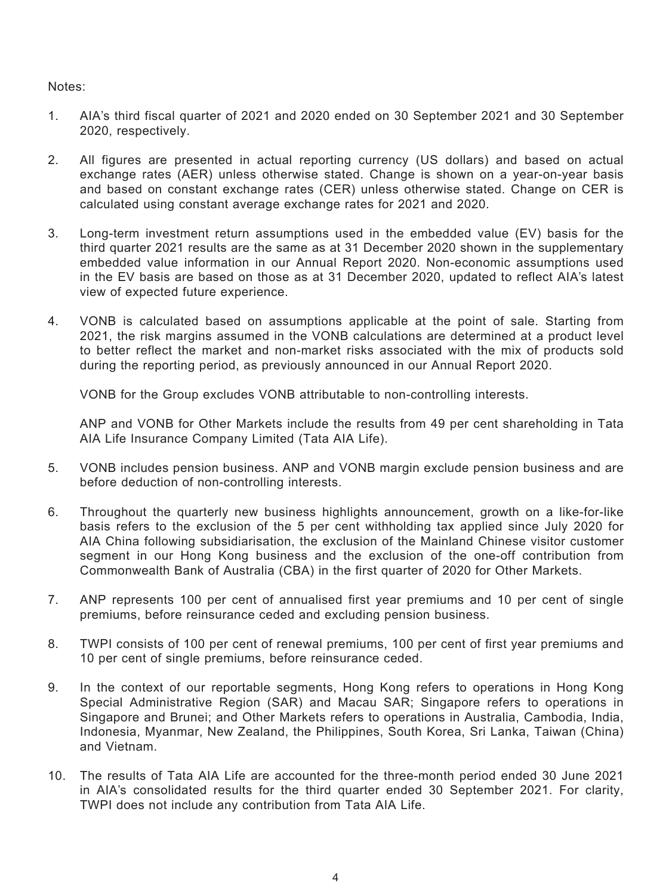Notes:

- 1. AIA's third fiscal quarter of 2021 and 2020 ended on 30 September 2021 and 30 September 2020, respectively.
- 2. All figures are presented in actual reporting currency (US dollars) and based on actual exchange rates (AER) unless otherwise stated. Change is shown on a year-on-year basis and based on constant exchange rates (CER) unless otherwise stated. Change on CER is calculated using constant average exchange rates for 2021 and 2020.
- 3. Long-term investment return assumptions used in the embedded value (EV) basis for the third quarter 2021 results are the same as at 31 December 2020 shown in the supplementary embedded value information in our Annual Report 2020. Non-economic assumptions used in the EV basis are based on those as at 31 December 2020, updated to reflect AIA's latest view of expected future experience.
- 4. VONB is calculated based on assumptions applicable at the point of sale. Starting from 2021, the risk margins assumed in the VONB calculations are determined at a product level to better reflect the market and non-market risks associated with the mix of products sold during the reporting period, as previously announced in our Annual Report 2020.

VONB for the Group excludes VONB attributable to non-controlling interests.

ANP and VONB for Other Markets include the results from 49 per cent shareholding in Tata AIA Life Insurance Company Limited (Tata AIA Life).

- 5. VONB includes pension business. ANP and VONB margin exclude pension business and are before deduction of non-controlling interests.
- 6. Throughout the quarterly new business highlights announcement, growth on a like-for-like basis refers to the exclusion of the 5 per cent withholding tax applied since July 2020 for AIA China following subsidiarisation, the exclusion of the Mainland Chinese visitor customer segment in our Hong Kong business and the exclusion of the one-off contribution from Commonwealth Bank of Australia (CBA) in the first quarter of 2020 for Other Markets.
- 7. ANP represents 100 per cent of annualised first year premiums and 10 per cent of single premiums, before reinsurance ceded and excluding pension business.
- 8. TWPI consists of 100 per cent of renewal premiums, 100 per cent of first year premiums and 10 per cent of single premiums, before reinsurance ceded.
- 9. In the context of our reportable segments, Hong Kong refers to operations in Hong Kong Special Administrative Region (SAR) and Macau SAR; Singapore refers to operations in Singapore and Brunei; and Other Markets refers to operations in Australia, Cambodia, India, Indonesia, Myanmar, New Zealand, the Philippines, South Korea, Sri Lanka, Taiwan (China) and Vietnam.
- 10. The results of Tata AIA Life are accounted for the three-month period ended 30 June 2021 in AIA's consolidated results for the third quarter ended 30 September 2021. For clarity, TWPI does not include any contribution from Tata AIA Life.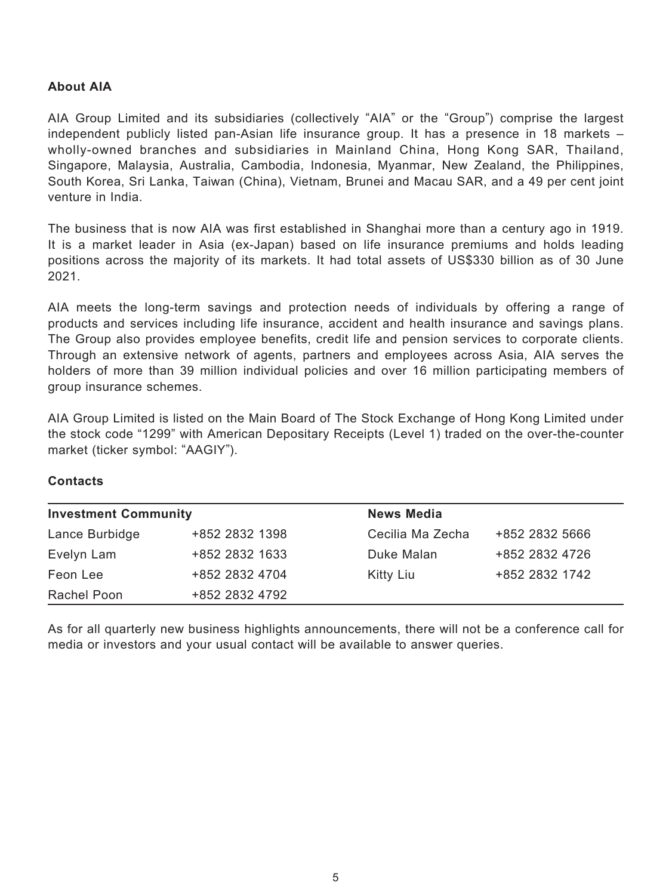## **About AIA**

AIA Group Limited and its subsidiaries (collectively "AIA" or the "Group") comprise the largest independent publicly listed pan-Asian life insurance group. It has a presence in 18 markets – wholly-owned branches and subsidiaries in Mainland China, Hong Kong SAR, Thailand, Singapore, Malaysia, Australia, Cambodia, Indonesia, Myanmar, New Zealand, the Philippines, South Korea, Sri Lanka, Taiwan (China), Vietnam, Brunei and Macau SAR, and a 49 per cent joint venture in India.

The business that is now AIA was first established in Shanghai more than a century ago in 1919. It is a market leader in Asia (ex-Japan) based on life insurance premiums and holds leading positions across the majority of its markets. It had total assets of US\$330 billion as of 30 June 2021.

AIA meets the long-term savings and protection needs of individuals by offering a range of products and services including life insurance, accident and health insurance and savings plans. The Group also provides employee benefits, credit life and pension services to corporate clients. Through an extensive network of agents, partners and employees across Asia, AIA serves the holders of more than 39 million individual policies and over 16 million participating members of group insurance schemes.

AIA Group Limited is listed on the Main Board of The Stock Exchange of Hong Kong Limited under the stock code "1299" with American Depositary Receipts (Level 1) traded on the over-the-counter market (ticker symbol: "AAGIY").

### **Contacts**

| <b>Investment Community</b> |                | <b>News Media</b> |                |  |  |  |
|-----------------------------|----------------|-------------------|----------------|--|--|--|
| Lance Burbidge              | +852 2832 1398 | Cecilia Ma Zecha  | +852 2832 5666 |  |  |  |
| Evelyn Lam                  | +852 2832 1633 | Duke Malan        | +852 2832 4726 |  |  |  |
| Feon Lee                    | +852 2832 4704 | Kitty Liu         | +852 2832 1742 |  |  |  |
| Rachel Poon                 | +852 2832 4792 |                   |                |  |  |  |

As for all quarterly new business highlights announcements, there will not be a conference call for media or investors and your usual contact will be available to answer queries.